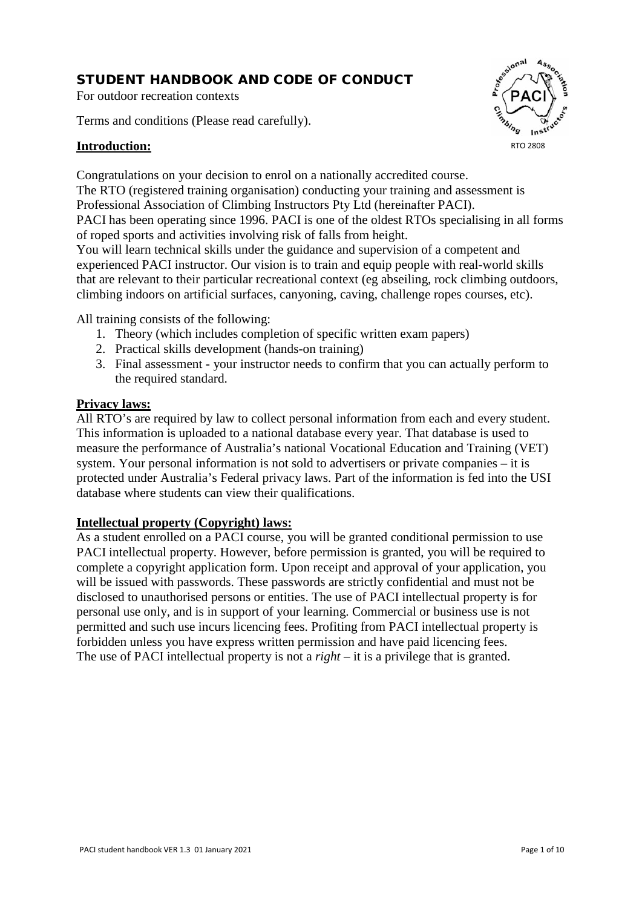# STUDENT HANDBOOK AND CODE OF CONDUCT

For outdoor recreation contexts

Terms and conditions (Please read carefully).

## **Introduction:**



Congratulations on your decision to enrol on a nationally accredited course. The RTO (registered training organisation) conducting your training and assessment is Professional Association of Climbing Instructors Pty Ltd (hereinafter PACI). PACI has been operating since 1996. PACI is one of the oldest RTOs specialising in all forms of roped sports and activities involving risk of falls from height.

You will learn technical skills under the guidance and supervision of a competent and experienced PACI instructor. Our vision is to train and equip people with real-world skills that are relevant to their particular recreational context (eg abseiling, rock climbing outdoors, climbing indoors on artificial surfaces, canyoning, caving, challenge ropes courses, etc).

All training consists of the following:

- 1. Theory (which includes completion of specific written exam papers)
- 2. Practical skills development (hands-on training)
- 3. Final assessment your instructor needs to confirm that you can actually perform to the required standard.

#### **Privacy laws:**

All RTO's are required by law to collect personal information from each and every student. This information is uploaded to a national database every year. That database is used to measure the performance of Australia's national Vocational Education and Training (VET) system. Your personal information is not sold to advertisers or private companies – it is protected under Australia's Federal privacy laws. Part of the information is fed into the USI database where students can view their qualifications.

### **Intellectual property (Copyright) laws:**

As a student enrolled on a PACI course, you will be granted conditional permission to use PACI intellectual property. However, before permission is granted, you will be required to complete a copyright application form. Upon receipt and approval of your application, you will be issued with passwords. These passwords are strictly confidential and must not be disclosed to unauthorised persons or entities. The use of PACI intellectual property is for personal use only, and is in support of your learning. Commercial or business use is not permitted and such use incurs licencing fees. Profiting from PACI intellectual property is forbidden unless you have express written permission and have paid licencing fees. The use of PACI intellectual property is not a *right* – it is a privilege that is granted.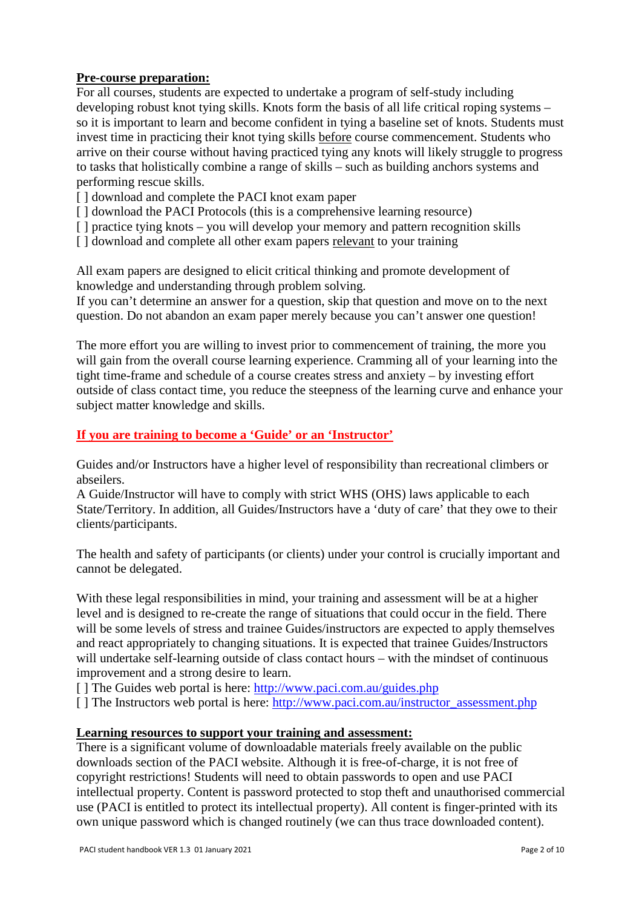## **Pre-course preparation:**

For all courses, students are expected to undertake a program of self-study including developing robust knot tying skills. Knots form the basis of all life critical roping systems – so it is important to learn and become confident in tying a baseline set of knots. Students must invest time in practicing their knot tying skills before course commencement. Students who arrive on their course without having practiced tying any knots will likely struggle to progress to tasks that holistically combine a range of skills – such as building anchors systems and performing rescue skills.

- [] download and complete the PACI knot exam paper
- [ ] download the PACI Protocols (this is a comprehensive learning resource)
- [ ] practice tying knots you will develop your memory and pattern recognition skills
- [] download and complete all other exam papers relevant to your training

All exam papers are designed to elicit critical thinking and promote development of knowledge and understanding through problem solving.

If you can't determine an answer for a question, skip that question and move on to the next question. Do not abandon an exam paper merely because you can't answer one question!

The more effort you are willing to invest prior to commencement of training, the more you will gain from the overall course learning experience. Cramming all of your learning into the tight time-frame and schedule of a course creates stress and anxiety – by investing effort outside of class contact time, you reduce the steepness of the learning curve and enhance your subject matter knowledge and skills.

## **If you are training to become a 'Guide' or an 'Instructor'**

Guides and/or Instructors have a higher level of responsibility than recreational climbers or abseilers.

A Guide/Instructor will have to comply with strict WHS (OHS) laws applicable to each State/Territory. In addition, all Guides/Instructors have a 'duty of care' that they owe to their clients/participants.

The health and safety of participants (or clients) under your control is crucially important and cannot be delegated.

With these legal responsibilities in mind, your training and assessment will be at a higher level and is designed to re-create the range of situations that could occur in the field. There will be some levels of stress and trainee Guides/instructors are expected to apply themselves and react appropriately to changing situations. It is expected that trainee Guides/Instructors will undertake self-learning outside of class contact hours – with the mindset of continuous improvement and a strong desire to learn.

[ ] The Guides web portal is here:<http://www.paci.com.au/guides.php>

[ ] The Instructors web portal is here: [http://www.paci.com.au/instructor\\_assessment.php](http://www.paci.com.au/instructor_assessment.php)

### **Learning resources to support your training and assessment:**

There is a significant volume of downloadable materials freely available on the public downloads section of the PACI website. Although it is free-of-charge, it is not free of copyright restrictions! Students will need to obtain passwords to open and use PACI intellectual property. Content is password protected to stop theft and unauthorised commercial use (PACI is entitled to protect its intellectual property). All content is finger-printed with its own unique password which is changed routinely (we can thus trace downloaded content).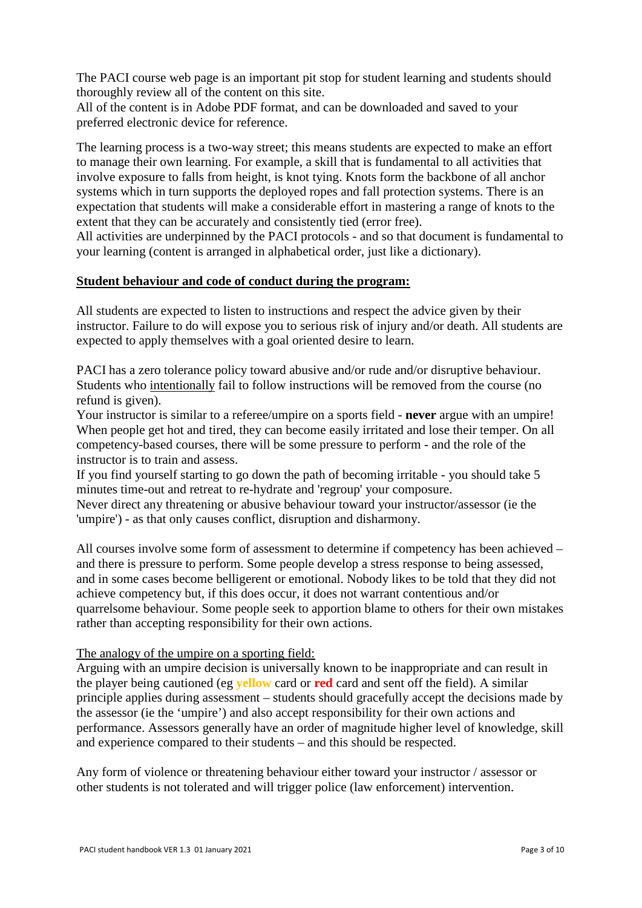The PACI course web page is an important pit stop for student learning and students should thoroughly review all of the content on this site.

All of the content is in Adobe PDF format, and can be downloaded and saved to your preferred electronic device for reference.

The learning process is a two-way street; this means students are expected to make an effort to manage their own learning. For example, a skill that is fundamental to all activities that involve exposure to falls from height, is knot tying. Knots form the backbone of all anchor systems which in turn supports the deployed ropes and fall protection systems. There is an expectation that students will make a considerable effort in mastering a range of knots to the extent that they can be accurately and consistently tied (error free).

All activities are underpinned by the PACI protocols - and so that document is fundamental to your learning (content is arranged in alphabetical order, just like a dictionary).

#### **Student behaviour and code of conduct during the program:**

All students are expected to listen to instructions and respect the advice given by their instructor. Failure to do will expose you to serious risk of injury and/or death. All students are expected to apply themselves with a goal oriented desire to learn.

PACI has a zero tolerance policy toward abusive and/or rude and/or disruptive behaviour. Students who intentionally fail to follow instructions will be removed from the course (no refund is given).

Your instructor is similar to a referee/umpire on a sports field - **never** argue with an umpire! When people get hot and tired, they can become easily irritated and lose their temper. On all competency-based courses, there will be some pressure to perform - and the role of the instructor is to train and assess.

If you find yourself starting to go down the path of becoming irritable - you should take 5 minutes time-out and retreat to re-hydrate and 'regroup' your composure.

Never direct any threatening or abusive behaviour toward your instructor/assessor (ie the 'umpire') - as that only causes conflict, disruption and disharmony.

All courses involve some form of assessment to determine if competency has been achieved – and there is pressure to perform. Some people develop a stress response to being assessed, and in some cases become belligerent or emotional. Nobody likes to be told that they did not achieve competency but, if this does occur, it does not warrant contentious and/or quarrelsome behaviour. Some people seek to apportion blame to others for their own mistakes rather than accepting responsibility for their own actions.

#### The analogy of the umpire on a sporting field:

Arguing with an umpire decision is universally known to be inappropriate and can result in the player being cautioned (eg **yellow** card or **red** card and sent off the field). A similar principle applies during assessment – students should gracefully accept the decisions made by the assessor (ie the 'umpire') and also accept responsibility for their own actions and performance. Assessors generally have an order of magnitude higher level of knowledge, skill and experience compared to their students – and this should be respected.

Any form of violence or threatening behaviour either toward your instructor / assessor or other students is not tolerated and will trigger police (law enforcement) intervention.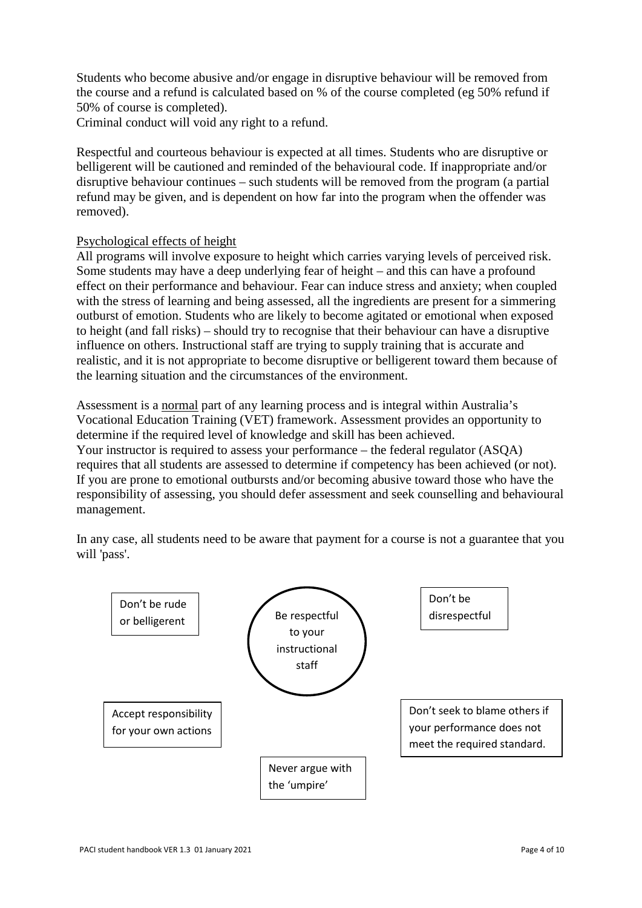Students who become abusive and/or engage in disruptive behaviour will be removed from the course and a refund is calculated based on % of the course completed (eg 50% refund if 50% of course is completed).

Criminal conduct will void any right to a refund.

Respectful and courteous behaviour is expected at all times. Students who are disruptive or belligerent will be cautioned and reminded of the behavioural code. If inappropriate and/or disruptive behaviour continues – such students will be removed from the program (a partial refund may be given, and is dependent on how far into the program when the offender was removed).

### Psychological effects of height

All programs will involve exposure to height which carries varying levels of perceived risk. Some students may have a deep underlying fear of height – and this can have a profound effect on their performance and behaviour. Fear can induce stress and anxiety; when coupled with the stress of learning and being assessed, all the ingredients are present for a simmering outburst of emotion. Students who are likely to become agitated or emotional when exposed to height (and fall risks) – should try to recognise that their behaviour can have a disruptive influence on others. Instructional staff are trying to supply training that is accurate and realistic, and it is not appropriate to become disruptive or belligerent toward them because of the learning situation and the circumstances of the environment.

Assessment is a normal part of any learning process and is integral within Australia's Vocational Education Training (VET) framework. Assessment provides an opportunity to determine if the required level of knowledge and skill has been achieved. Your instructor is required to assess your performance – the federal regulator (ASQA) requires that all students are assessed to determine if competency has been achieved (or not). If you are prone to emotional outbursts and/or becoming abusive toward those who have the responsibility of assessing, you should defer assessment and seek counselling and behavioural management.

In any case, all students need to be aware that payment for a course is not a guarantee that you will 'pass'.

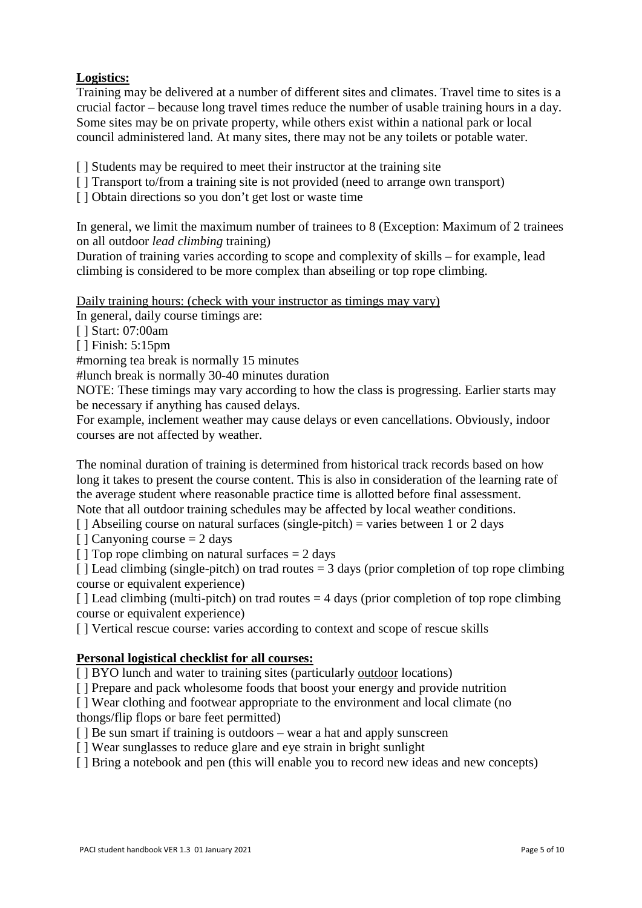# **Logistics:**

Training may be delivered at a number of different sites and climates. Travel time to sites is a crucial factor – because long travel times reduce the number of usable training hours in a day. Some sites may be on private property, while others exist within a national park or local council administered land. At many sites, there may not be any toilets or potable water.

[] Students may be required to meet their instructor at the training site

[ ] Transport to/from a training site is not provided (need to arrange own transport)

[] Obtain directions so you don't get lost or waste time

In general, we limit the maximum number of trainees to 8 (Exception: Maximum of 2 trainees on all outdoor *lead climbing* training)

Duration of training varies according to scope and complexity of skills – for example, lead climbing is considered to be more complex than abseiling or top rope climbing.

Daily training hours: (check with your instructor as timings may vary)

In general, daily course timings are:

[ ] Start: 07:00am

[ ] Finish: 5:15pm

#morning tea break is normally 15 minutes

#lunch break is normally 30-40 minutes duration

NOTE: These timings may vary according to how the class is progressing. Earlier starts may be necessary if anything has caused delays.

For example, inclement weather may cause delays or even cancellations. Obviously, indoor courses are not affected by weather.

The nominal duration of training is determined from historical track records based on how long it takes to present the course content. This is also in consideration of the learning rate of the average student where reasonable practice time is allotted before final assessment. Note that all outdoor training schedules may be affected by local weather conditions.

[ ] Abseiling course on natural surfaces (single-pitch) = varies between 1 or 2 days

 $\lceil$  1 Canyoning course = 2 days

 $\lceil \cdot \rceil$  Top rope climbing on natural surfaces = 2 days

 $\lceil$  ] Lead climbing (single-pitch) on trad routes = 3 days (prior completion of top rope climbing course or equivalent experience)

 $\lceil \cdot \rceil$  Lead climbing (multi-pitch) on trad routes = 4 days (prior completion of top rope climbing course or equivalent experience)

[] Vertical rescue course: varies according to context and scope of rescue skills

### **Personal logistical checklist for all courses:**

[ ] BYO lunch and water to training sites (particularly outdoor locations)

[ ] Prepare and pack wholesome foods that boost your energy and provide nutrition

[ ] Wear clothing and footwear appropriate to the environment and local climate (no thongs/flip flops or bare feet permitted)

[ ] Be sun smart if training is outdoors – wear a hat and apply sunscreen

[ ] Wear sunglasses to reduce glare and eye strain in bright sunlight

[ ] Bring a notebook and pen (this will enable you to record new ideas and new concepts)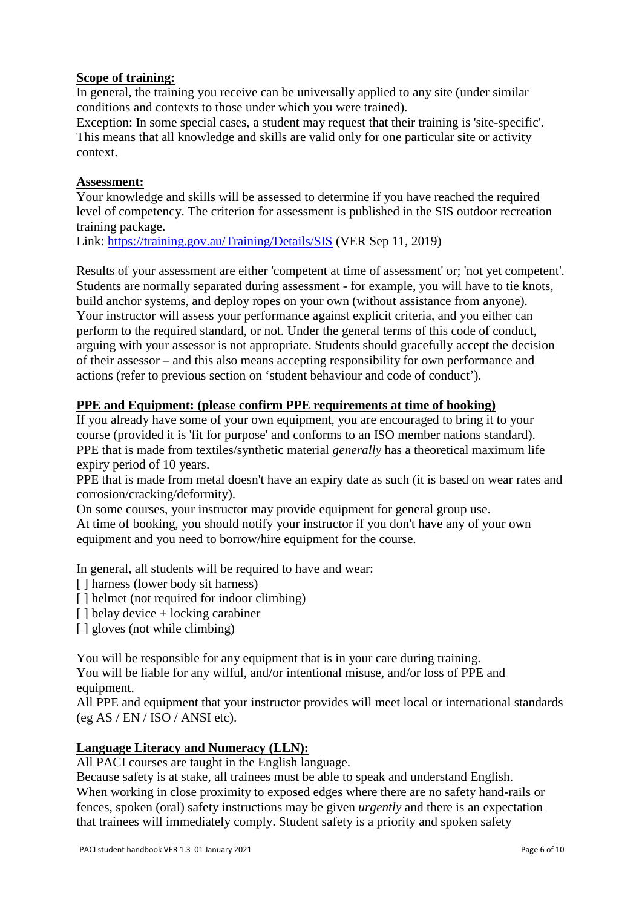### **Scope of training:**

In general, the training you receive can be universally applied to any site (under similar conditions and contexts to those under which you were trained).

Exception: In some special cases, a student may request that their training is 'site-specific'. This means that all knowledge and skills are valid only for one particular site or activity context.

#### **Assessment:**

Your knowledge and skills will be assessed to determine if you have reached the required level of competency. The criterion for assessment is published in the SIS outdoor recreation training package.

Link:<https://training.gov.au/Training/Details/SIS> (VER Sep 11, 2019)

Results of your assessment are either 'competent at time of assessment' or; 'not yet competent'. Students are normally separated during assessment - for example, you will have to tie knots, build anchor systems, and deploy ropes on your own (without assistance from anyone). Your instructor will assess your performance against explicit criteria, and you either can perform to the required standard, or not. Under the general terms of this code of conduct, arguing with your assessor is not appropriate. Students should gracefully accept the decision of their assessor – and this also means accepting responsibility for own performance and actions (refer to previous section on 'student behaviour and code of conduct').

### **PPE and Equipment: (please confirm PPE requirements at time of booking)**

If you already have some of your own equipment, you are encouraged to bring it to your course (provided it is 'fit for purpose' and conforms to an ISO member nations standard). PPE that is made from textiles/synthetic material *generally* has a theoretical maximum life expiry period of 10 years.

PPE that is made from metal doesn't have an expiry date as such (it is based on wear rates and corrosion/cracking/deformity).

On some courses, your instructor may provide equipment for general group use. At time of booking, you should notify your instructor if you don't have any of your own equipment and you need to borrow/hire equipment for the course.

In general, all students will be required to have and wear:

- [] harness (lower body sit harness)
- [ ] helmet (not required for indoor climbing)
- [ ] belay device + locking carabiner
- [ ] gloves (not while climbing)

You will be responsible for any equipment that is in your care during training.

You will be liable for any wilful, and/or intentional misuse, and/or loss of PPE and equipment.

All PPE and equipment that your instructor provides will meet local or international standards (eg AS / EN / ISO / ANSI etc).

### **Language Literacy and Numeracy (LLN):**

All PACI courses are taught in the English language.

Because safety is at stake, all trainees must be able to speak and understand English. When working in close proximity to exposed edges where there are no safety hand-rails or fences, spoken (oral) safety instructions may be given *urgently* and there is an expectation that trainees will immediately comply. Student safety is a priority and spoken safety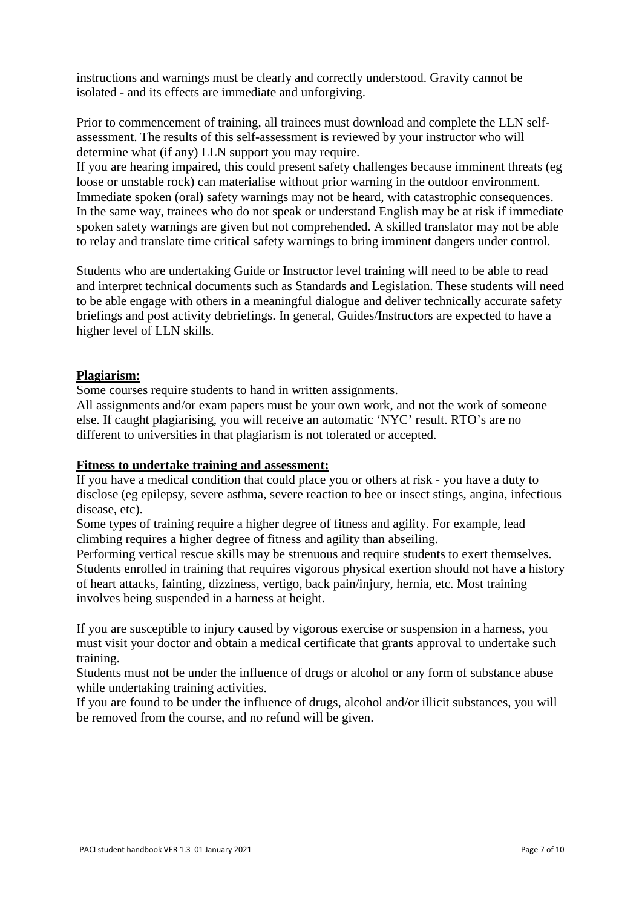instructions and warnings must be clearly and correctly understood. Gravity cannot be isolated - and its effects are immediate and unforgiving.

Prior to commencement of training, all trainees must download and complete the LLN selfassessment. The results of this self-assessment is reviewed by your instructor who will determine what (if any) LLN support you may require.

If you are hearing impaired, this could present safety challenges because imminent threats (eg loose or unstable rock) can materialise without prior warning in the outdoor environment. Immediate spoken (oral) safety warnings may not be heard, with catastrophic consequences. In the same way, trainees who do not speak or understand English may be at risk if immediate spoken safety warnings are given but not comprehended. A skilled translator may not be able to relay and translate time critical safety warnings to bring imminent dangers under control.

Students who are undertaking Guide or Instructor level training will need to be able to read and interpret technical documents such as Standards and Legislation. These students will need to be able engage with others in a meaningful dialogue and deliver technically accurate safety briefings and post activity debriefings. In general, Guides/Instructors are expected to have a higher level of LLN skills.

#### **Plagiarism:**

Some courses require students to hand in written assignments.

All assignments and/or exam papers must be your own work, and not the work of someone else. If caught plagiarising, you will receive an automatic 'NYC' result. RTO's are no different to universities in that plagiarism is not tolerated or accepted.

#### **Fitness to undertake training and assessment:**

If you have a medical condition that could place you or others at risk - you have a duty to disclose (eg epilepsy, severe asthma, severe reaction to bee or insect stings, angina, infectious disease, etc).

Some types of training require a higher degree of fitness and agility. For example, lead climbing requires a higher degree of fitness and agility than abseiling.

Performing vertical rescue skills may be strenuous and require students to exert themselves. Students enrolled in training that requires vigorous physical exertion should not have a history of heart attacks, fainting, dizziness, vertigo, back pain/injury, hernia, etc. Most training involves being suspended in a harness at height.

If you are susceptible to injury caused by vigorous exercise or suspension in a harness, you must visit your doctor and obtain a medical certificate that grants approval to undertake such training.

Students must not be under the influence of drugs or alcohol or any form of substance abuse while undertaking training activities.

If you are found to be under the influence of drugs, alcohol and/or illicit substances, you will be removed from the course, and no refund will be given.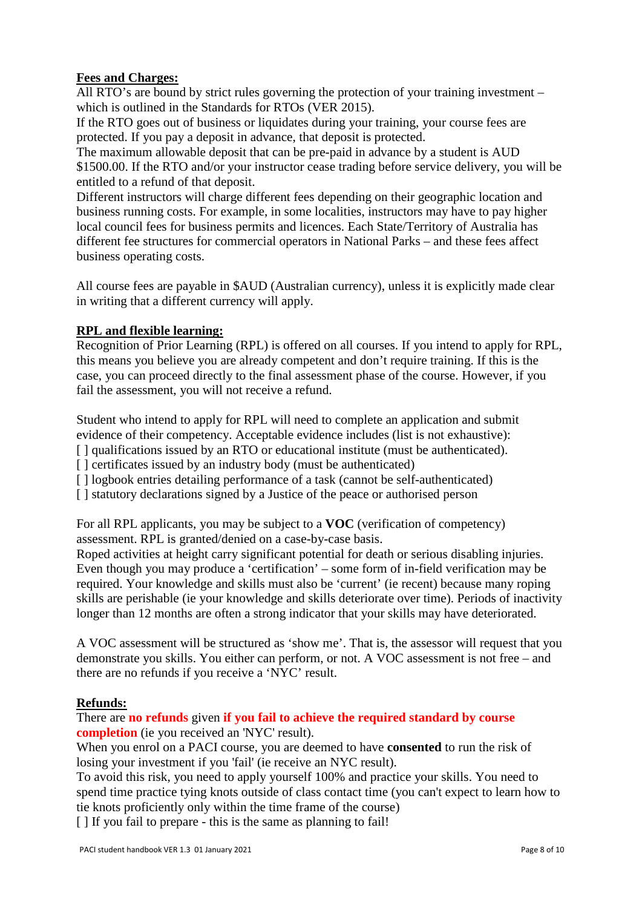# **Fees and Charges:**

All RTO's are bound by strict rules governing the protection of your training investment – which is outlined in the Standards for RTOs (VER 2015).

If the RTO goes out of business or liquidates during your training, your course fees are protected. If you pay a deposit in advance, that deposit is protected.

The maximum allowable deposit that can be pre-paid in advance by a student is AUD \$1500.00. If the RTO and/or your instructor cease trading before service delivery, you will be entitled to a refund of that deposit.

Different instructors will charge different fees depending on their geographic location and business running costs. For example, in some localities, instructors may have to pay higher local council fees for business permits and licences. Each State/Territory of Australia has different fee structures for commercial operators in National Parks – and these fees affect business operating costs.

All course fees are payable in \$AUD (Australian currency), unless it is explicitly made clear in writing that a different currency will apply.

## **RPL and flexible learning:**

Recognition of Prior Learning (RPL) is offered on all courses. If you intend to apply for RPL, this means you believe you are already competent and don't require training. If this is the case, you can proceed directly to the final assessment phase of the course. However, if you fail the assessment, you will not receive a refund.

Student who intend to apply for RPL will need to complete an application and submit evidence of their competency. Acceptable evidence includes (list is not exhaustive):

- [ ] qualifications issued by an RTO or educational institute (must be authenticated).
- [] certificates issued by an industry body (must be authenticated)
- [] logbook entries detailing performance of a task (cannot be self-authenticated)
- [] statutory declarations signed by a Justice of the peace or authorised person

For all RPL applicants, you may be subject to a **VOC** (verification of competency) assessment. RPL is granted/denied on a case-by-case basis.

Roped activities at height carry significant potential for death or serious disabling injuries. Even though you may produce a 'certification' – some form of in-field verification may be required. Your knowledge and skills must also be 'current' (ie recent) because many roping skills are perishable (ie your knowledge and skills deteriorate over time). Periods of inactivity longer than 12 months are often a strong indicator that your skills may have deteriorated.

A VOC assessment will be structured as 'show me'. That is, the assessor will request that you demonstrate you skills. You either can perform, or not. A VOC assessment is not free – and there are no refunds if you receive a 'NYC' result.

### **Refunds:**

There are **no refunds** given **if you fail to achieve the required standard by course completion** (ie you received an 'NYC' result).

When you enrol on a PACI course, you are deemed to have **consented** to run the risk of losing your investment if you 'fail' (ie receive an NYC result).

To avoid this risk, you need to apply yourself 100% and practice your skills. You need to spend time practice tying knots outside of class contact time (you can't expect to learn how to tie knots proficiently only within the time frame of the course)

[  $\parallel$  If you fail to prepare - this is the same as planning to fail!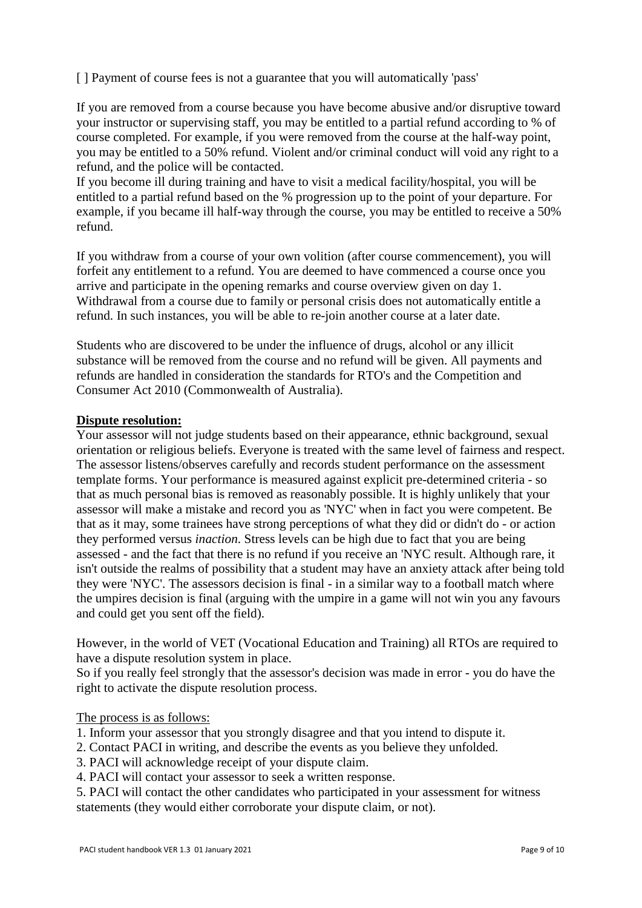[ ] Payment of course fees is not a guarantee that you will automatically 'pass'

If you are removed from a course because you have become abusive and/or disruptive toward your instructor or supervising staff, you may be entitled to a partial refund according to % of course completed. For example, if you were removed from the course at the half-way point, you may be entitled to a 50% refund. Violent and/or criminal conduct will void any right to a refund, and the police will be contacted.

If you become ill during training and have to visit a medical facility/hospital, you will be entitled to a partial refund based on the % progression up to the point of your departure. For example, if you became ill half-way through the course, you may be entitled to receive a 50% refund.

If you withdraw from a course of your own volition (after course commencement), you will forfeit any entitlement to a refund. You are deemed to have commenced a course once you arrive and participate in the opening remarks and course overview given on day 1. Withdrawal from a course due to family or personal crisis does not automatically entitle a refund. In such instances, you will be able to re-join another course at a later date.

Students who are discovered to be under the influence of drugs, alcohol or any illicit substance will be removed from the course and no refund will be given. All payments and refunds are handled in consideration the standards for RTO's and the Competition and Consumer Act 2010 (Commonwealth of Australia).

#### **Dispute resolution:**

Your assessor will not judge students based on their appearance, ethnic background, sexual orientation or religious beliefs. Everyone is treated with the same level of fairness and respect. The assessor listens/observes carefully and records student performance on the assessment template forms. Your performance is measured against explicit pre-determined criteria - so that as much personal bias is removed as reasonably possible. It is highly unlikely that your assessor will make a mistake and record you as 'NYC' when in fact you were competent. Be that as it may, some trainees have strong perceptions of what they did or didn't do - or action they performed versus *inaction*. Stress levels can be high due to fact that you are being assessed - and the fact that there is no refund if you receive an 'NYC result. Although rare, it isn't outside the realms of possibility that a student may have an anxiety attack after being told they were 'NYC'. The assessors decision is final - in a similar way to a football match where the umpires decision is final (arguing with the umpire in a game will not win you any favours and could get you sent off the field).

However, in the world of VET (Vocational Education and Training) all RTOs are required to have a dispute resolution system in place.

So if you really feel strongly that the assessor's decision was made in error - you do have the right to activate the dispute resolution process.

The process is as follows:

- 1. Inform your assessor that you strongly disagree and that you intend to dispute it.
- 2. Contact PACI in writing, and describe the events as you believe they unfolded.
- 3. PACI will acknowledge receipt of your dispute claim.

4. PACI will contact your assessor to seek a written response.

5. PACI will contact the other candidates who participated in your assessment for witness statements (they would either corroborate your dispute claim, or not).